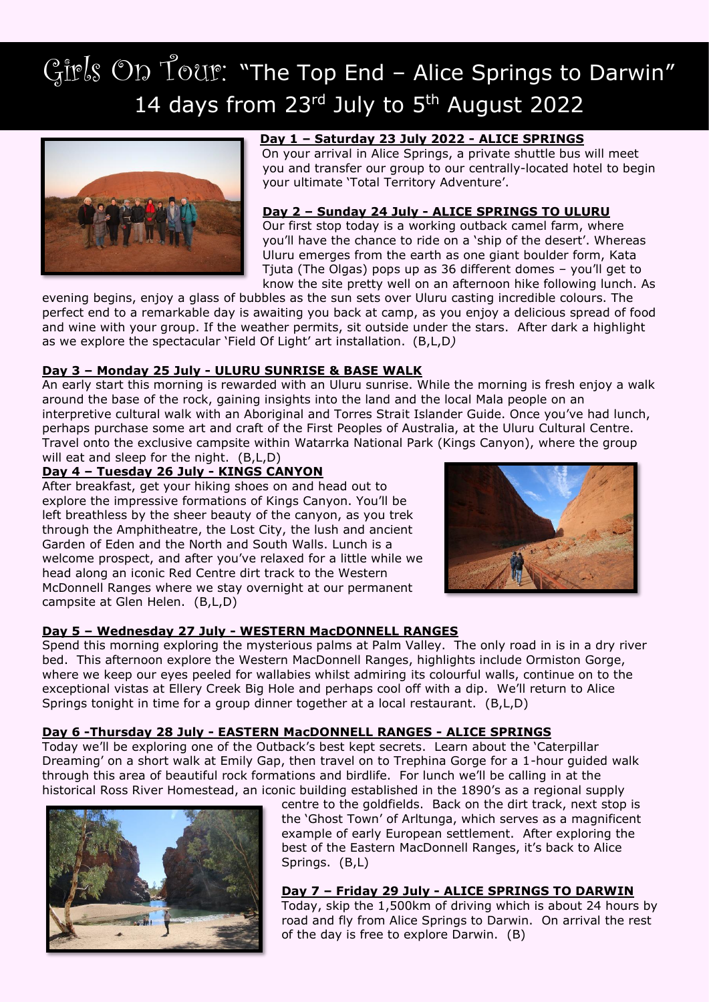# Girls On Tour: "The Top End - Alice Springs to Darwin" 14 days from  $23<sup>rd</sup>$  July to  $5<sup>th</sup>$  August 2022



# **Day 1 – Saturday 23 July 2022 - ALICE SPRINGS**

On your arrival in Alice Springs, a private shuttle bus will meet you and transfer our group to our centrally-located hotel to begin your ultimate 'Total Territory Adventure'.

#### **Day 2 – Sunday 24 July - ALICE SPRINGS TO ULURU**

Our first stop today is a working outback camel farm, where you'll have the chance to ride on a 'ship of the desert'. Whereas Uluru emerges from the earth as one giant boulder form, Kata Tjuta (The Olgas) pops up as 36 different domes – you'll get to know the site pretty well on an afternoon hike following lunch. As

evening begins, enjoy a glass of bubbles as the sun sets over Uluru casting incredible colours. The perfect end to a remarkable day is awaiting you back at camp, as you enjoy a delicious spread of food and wine with your group. If the weather permits, sit outside under the stars. After dark a highlight as we explore the spectacular 'Field Of Light' art installation. (B,L,D*)*

# **Day 3 – Monday 25 July - ULURU SUNRISE & BASE WALK**

An early start this morning is rewarded with an Uluru sunrise. While the morning is fresh enjoy a walk around the base of the rock, gaining insights into the land and the local Mala people on an interpretive cultural walk with an Aboriginal and Torres Strait Islander Guide. Once you've had lunch, perhaps purchase some art and craft of the First Peoples of Australia, at the Uluru Cultural Centre. Travel onto the exclusive campsite within Watarrka National Park (Kings Canyon), where the group will eat and sleep for the night. (B,L,D)

# **Day 4 – Tuesday 26 July - KINGS CANYON**

After breakfast, get your hiking shoes on and head out to explore the impressive formations of Kings Canyon. You'll be left breathless by the sheer beauty of the canyon, as you trek through the Amphitheatre, the Lost City, the lush and ancient Garden of Eden and the North and South Walls. Lunch is a welcome prospect, and after you've relaxed for a little while we head along an iconic Red Centre dirt track to the Western McDonnell Ranges where we stay overnight at our permanent campsite at Glen Helen. (B,L,D)



# **Day 5 – Wednesday 27 July - WESTERN MacDONNELL RANGES**

Spend this morning exploring the mysterious palms at Palm Valley. The only road in is in a dry river bed. This afternoon explore the Western MacDonnell Ranges, highlights include Ormiston Gorge, where we keep our eyes peeled for wallabies whilst admiring its colourful walls, continue on to the exceptional vistas at Ellery Creek Big Hole and perhaps cool off with a dip. We'll return to Alice Springs tonight in time for a group dinner together at a local restaurant. (B,L,D)

# **Day 6 -Thursday 28 July - EASTERN MacDONNELL RANGES - ALICE SPRINGS**

Today we'll be exploring one of the Outback's best kept secrets. Learn about the 'Caterpillar Dreaming' on a short walk at Emily Gap, then travel on to Trephina Gorge for a 1-hour guided walk through this area of beautiful rock formations and birdlife. For lunch we'll be calling in at the historical Ross River Homestead, an iconic building established in the 1890's as a regional supply



centre to the goldfields. Back on the dirt track, next stop is the 'Ghost Town' of Arltunga, which serves as a magnificent example of early European settlement. After exploring the best of the Eastern MacDonnell Ranges, it's back to Alice Springs. (B,L)

#### **Day 7 – Friday 29 July - ALICE SPRINGS TO DARWIN**

Today, skip the 1,500km of driving which is about 24 hours by road and fly from Alice Springs to Darwin. On arrival the rest of the day is free to explore Darwin. (B)